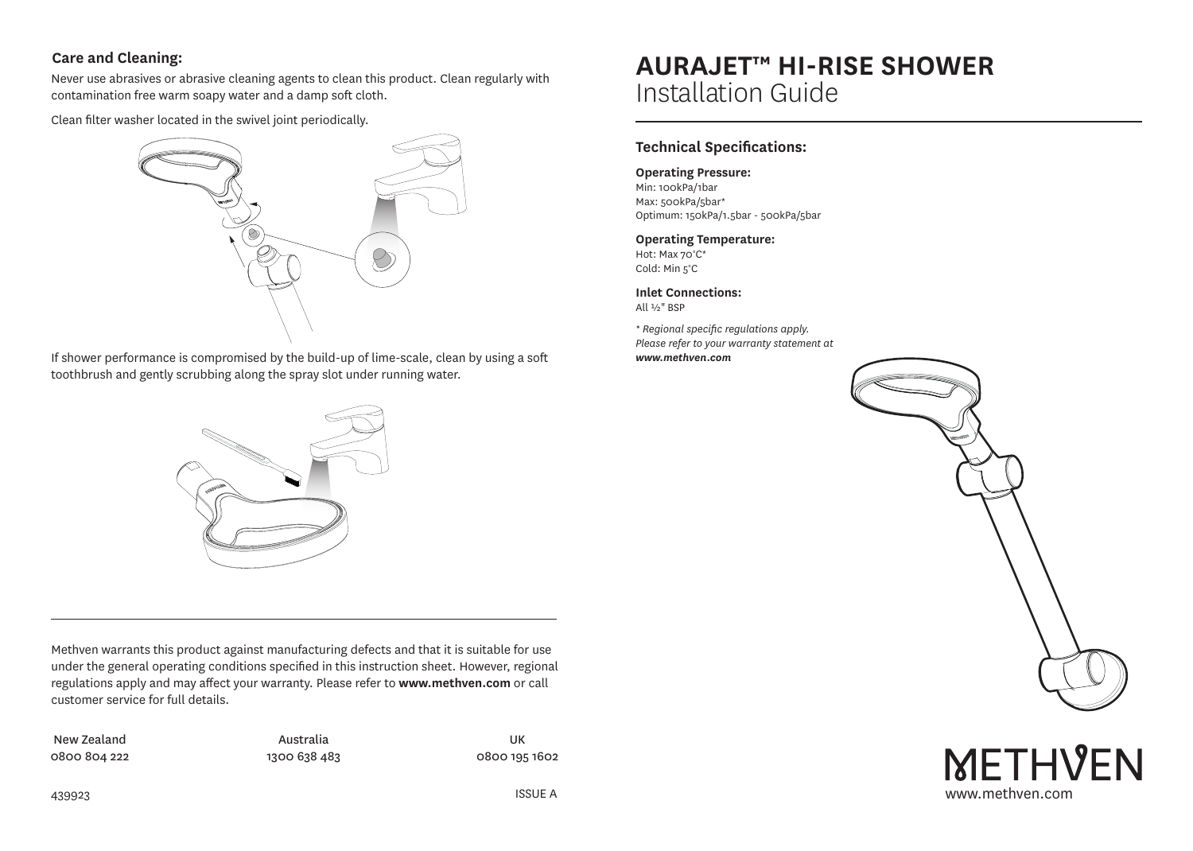# **Care and Cleaning:**

Never use abrasives or abrasive cleaning agents to clean this product. Clean regularly with contamination free warm soapy water and a damp soft cloth.

Clean filter washer located in the swivel joint periodically.



If shower performance is compromised by the build-up of lime-scale, clean by using a soft toothbrush and gently scrubbing along the spray slot under running water.



Methven warrants this product against manufacturing defects and that it is suitable for use under the general operating conditions specified in this instruction sheet. However, regional regulations apply and may affect your warranty. Please refer to **www.methven.com** or call customer service for full details.

New Zealand 0800 804 222

Australia 1300 638 483

UK 0800 195 1602

# **AURAJET™ HI-RISE SHOWER**  Installation Guide

# **Technical Specifications:**

## **Operating Pressure:**

Min: 100kPa/1bar Max: 500kPa/5bar\* Optimum: 150kPa/1.5bar - 500kPa/5bar

## **Operating Temperature:**

Hot: Max 70°C\* Cold: Min 5°C

**Inlet Connections:** All ½" BSP

*\* Regional specific regulations apply. Please refer to your warranty statement at www.methven.com*